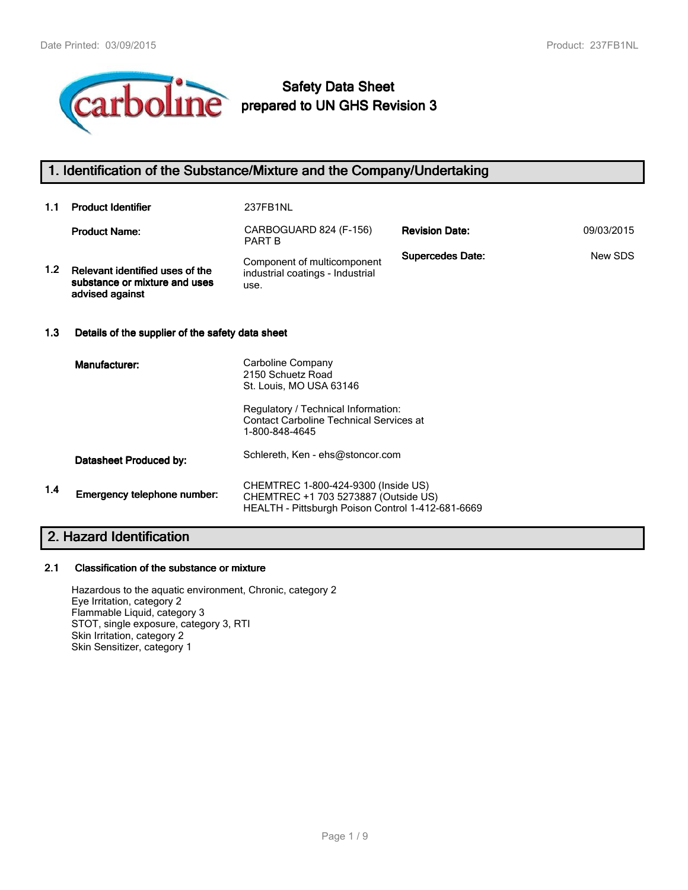

# **Safety Data Sheet prepared to UN GHS Revision 3**

# **1. Identification of the Substance/Mixture and the Company/Undertaking**

| 1.1              | <b>Product Identifier</b>                                                           | 237FB1NL                                                                                                                                                                     |                         |            |
|------------------|-------------------------------------------------------------------------------------|------------------------------------------------------------------------------------------------------------------------------------------------------------------------------|-------------------------|------------|
|                  | <b>Product Name:</b>                                                                | CARBOGUARD 824 (F-156)<br><b>PART B</b>                                                                                                                                      | <b>Revision Date:</b>   | 09/03/2015 |
| 1.2 <sub>1</sub> | Relevant identified uses of the<br>substance or mixture and uses<br>advised against | Component of multicomponent<br>industrial coatings - Industrial<br>use.                                                                                                      | <b>Supercedes Date:</b> | New SDS    |
| 1.3              | Details of the supplier of the safety data sheet                                    |                                                                                                                                                                              |                         |            |
|                  | Manufacturer:                                                                       | Carboline Company<br>2150 Schuetz Road<br>St. Louis, MO USA 63146<br>Regulatory / Technical Information:<br><b>Contact Carboline Technical Services at</b><br>1-800-848-4645 |                         |            |
|                  | Datasheet Produced by:                                                              | Schlereth, Ken - ehs@stoncor.com                                                                                                                                             |                         |            |
| 1.4              | Emergency telephone number:                                                         | CHEMTREC 1-800-424-9300 (Inside US)<br>CHEMTREC +1 703 5273887 (Outside US)<br>HEALTH - Pittsburgh Poison Control 1-412-681-6669                                             |                         |            |

# **2. Hazard Identification**

#### **2.1 Classification of the substance or mixture**

Hazardous to the aquatic environment, Chronic, category 2 Eye Irritation, category 2 Flammable Liquid, category 3 STOT, single exposure, category 3, RTI Skin Irritation, category 2 Skin Sensitizer, category 1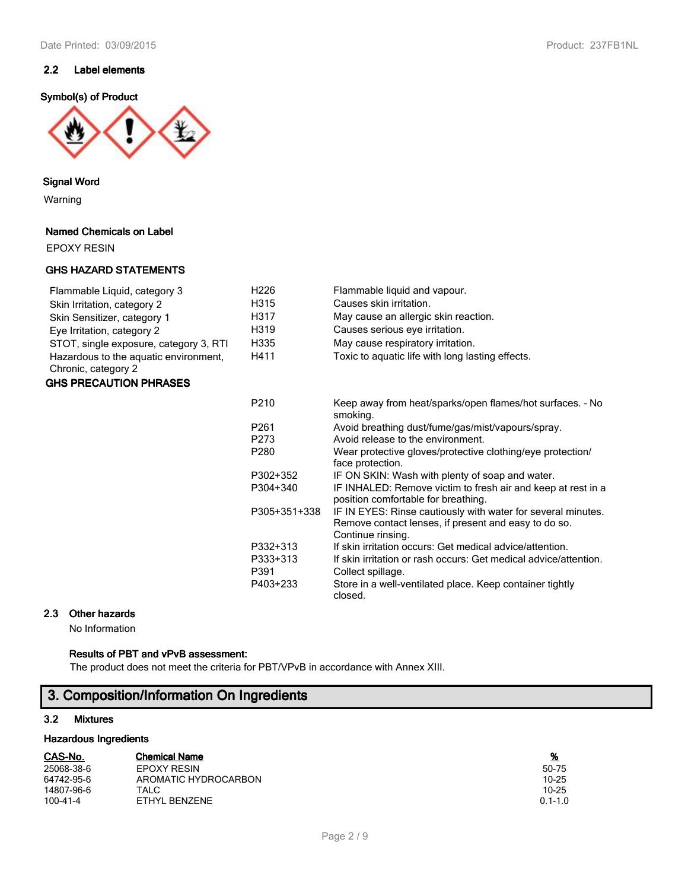# **2.2 Label elements**

## **Symbol(s) of Product**



#### **Signal Word**

Warning

#### **Named Chemicals on Label**

EPOXY RESIN

#### **GHS HAZARD STATEMENTS**

| Flammable Liquid, category 3<br>Skin Irritation, category 2<br>Skin Sensitizer, category 1<br>Eye Irritation, category 2 | H <sub>226</sub><br>H315<br>H317<br>H319 | Flammable liquid and vapour.<br>Causes skin irritation.<br>May cause an allergic skin reaction.<br>Causes serious eye irritation. |
|--------------------------------------------------------------------------------------------------------------------------|------------------------------------------|-----------------------------------------------------------------------------------------------------------------------------------|
| STOT, single exposure, category 3, RTI                                                                                   | H335                                     | May cause respiratory irritation.                                                                                                 |
| Hazardous to the aquatic environment,<br>Chronic, category 2                                                             | H411                                     | Toxic to aguatic life with long lasting effects.                                                                                  |

#### **GHS PRECAUTION PHRASES**

| P <sub>210</sub> | Keep away from heat/sparks/open flames/hot surfaces. - No<br>smoking.                                                                     |
|------------------|-------------------------------------------------------------------------------------------------------------------------------------------|
| P <sub>261</sub> | Avoid breathing dust/fume/gas/mist/vapours/spray.                                                                                         |
| P273             | Avoid release to the environment.                                                                                                         |
| P <sub>280</sub> | Wear protective gloves/protective clothing/eye protection/<br>face protection.                                                            |
| P302+352         | IF ON SKIN: Wash with plenty of soap and water.                                                                                           |
| P304+340         | IF INHALED: Remove victim to fresh air and keep at rest in a<br>position comfortable for breathing.                                       |
| P305+351+338     | IF IN EYES: Rinse cautiously with water for several minutes.<br>Remove contact lenses, if present and easy to do so.<br>Continue rinsing. |
| P332+313         | If skin irritation occurs: Get medical advice/attention.                                                                                  |
| P333+313         | If skin irritation or rash occurs: Get medical advice/attention.                                                                          |
| P391             | Collect spillage.                                                                                                                         |
| P403+233         | Store in a well-ventilated place. Keep container tightly<br>closed.                                                                       |

#### **2.3 Other hazards**

No Information

#### **Results of PBT and vPvB assessment:**

The product does not meet the criteria for PBT/VPvB in accordance with Annex XIII.

# **3. Composition/Information On Ingredients**

### **3.2 Mixtures**

#### **Hazardous Ingredients**

| CAS-No.        | <b>Chemical Name</b> | <u>%</u>    |
|----------------|----------------------|-------------|
| 25068-38-6     | EPOXY RESIN          | 50-75       |
| 64742-95-6     | AROMATIC HYDROCARBON | 10-25       |
| 14807-96-6     | TALC                 | $10 - 25$   |
| $100 - 41 - 4$ | ETHYL BENZENE        | $0.1 - 1.0$ |

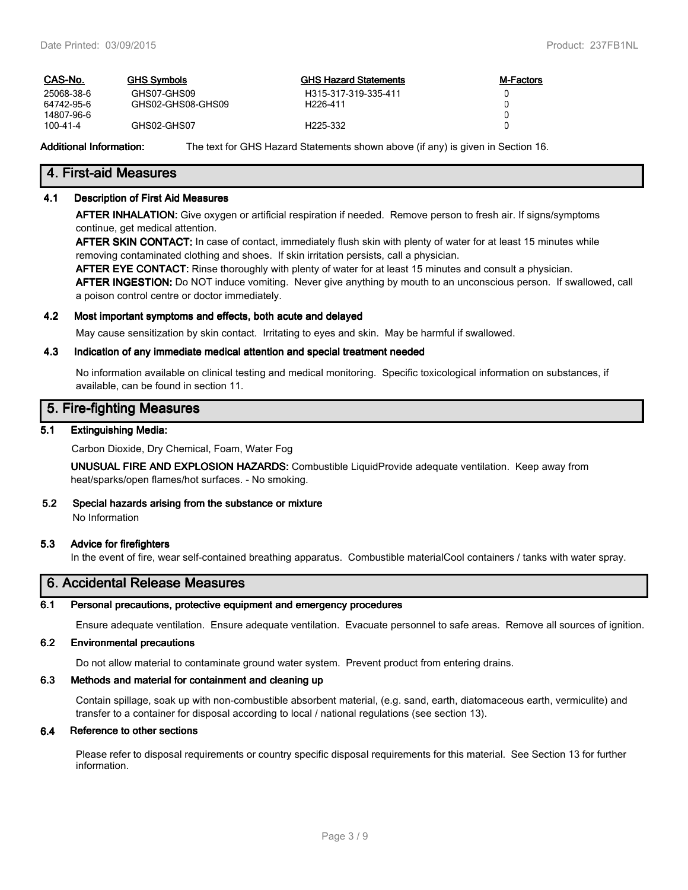| CAS-No.        | <b>GHS Symbols</b> | <b>GHS Hazard Statements</b> | <b>M-Factors</b> |
|----------------|--------------------|------------------------------|------------------|
| 25068-38-6     | GHS07-GHS09        | H315-317-319-335-411         |                  |
| 64742-95-6     | GHS02-GHS08-GHS09  | H <sub>226-411</sub>         |                  |
| 14807-96-6     |                    |                              |                  |
| $100 - 41 - 4$ | GHS02-GHS07        | H <sub>225</sub> -332        |                  |
|                |                    |                              |                  |

**Additional Information:** The text for GHS Hazard Statements shown above (if any) is given in Section 16.

# **4. First-aid Measures**

#### **4.1 Description of First Aid Measures**

**AFTER INHALATION:** Give oxygen or artificial respiration if needed. Remove person to fresh air. If signs/symptoms continue, get medical attention.

**AFTER SKIN CONTACT:** In case of contact, immediately flush skin with plenty of water for at least 15 minutes while removing contaminated clothing and shoes. If skin irritation persists, call a physician.

**AFTER EYE CONTACT:** Rinse thoroughly with plenty of water for at least 15 minutes and consult a physician.

**AFTER INGESTION:** Do NOT induce vomiting. Never give anything by mouth to an unconscious person. If swallowed, call a poison control centre or doctor immediately.

#### **4.2 Most important symptoms and effects, both acute and delayed**

May cause sensitization by skin contact. Irritating to eyes and skin. May be harmful if swallowed.

#### **4.3 Indication of any immediate medical attention and special treatment needed**

No information available on clinical testing and medical monitoring. Specific toxicological information on substances, if available, can be found in section 11.

### **5. Fire-fighting Measures**

#### **5.1 Extinguishing Media:**

Carbon Dioxide, Dry Chemical, Foam, Water Fog

**UNUSUAL FIRE AND EXPLOSION HAZARDS:** Combustible LiquidProvide adequate ventilation. Keep away from heat/sparks/open flames/hot surfaces. - No smoking.

# **5.2 Special hazards arising from the substance or mixture**

No Information

#### **5.3 Advice for firefighters**

In the event of fire, wear self-contained breathing apparatus. Combustible materialCool containers / tanks with water spray.

# **6. Accidental Release Measures**

#### **6.1 Personal precautions, protective equipment and emergency procedures**

Ensure adequate ventilation. Ensure adequate ventilation. Evacuate personnel to safe areas. Remove all sources of ignition.

#### **6.2 Environmental precautions**

Do not allow material to contaminate ground water system. Prevent product from entering drains.

#### **6.3 Methods and material for containment and cleaning up**

Contain spillage, soak up with non-combustible absorbent material, (e.g. sand, earth, diatomaceous earth, vermiculite) and transfer to a container for disposal according to local / national regulations (see section 13).

#### **6.4 Reference to other sections**

Please refer to disposal requirements or country specific disposal requirements for this material. See Section 13 for further information.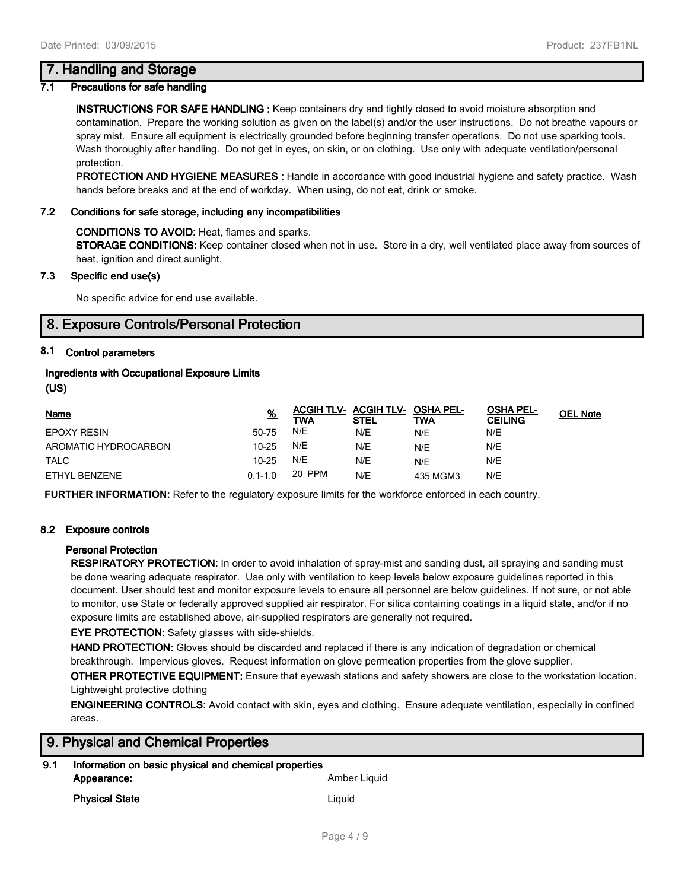# **7. Handling and Storage**

#### **7.1 Precautions for safe handling**

**INSTRUCTIONS FOR SAFE HANDLING :** Keep containers dry and tightly closed to avoid moisture absorption and contamination. Prepare the working solution as given on the label(s) and/or the user instructions. Do not breathe vapours or spray mist. Ensure all equipment is electrically grounded before beginning transfer operations. Do not use sparking tools. Wash thoroughly after handling. Do not get in eyes, on skin, or on clothing. Use only with adequate ventilation/personal protection.

**PROTECTION AND HYGIENE MEASURES :** Handle in accordance with good industrial hygiene and safety practice. Wash hands before breaks and at the end of workday. When using, do not eat, drink or smoke.

#### **7.2 Conditions for safe storage, including any incompatibilities**

#### **CONDITIONS TO AVOID:** Heat, flames and sparks.

**STORAGE CONDITIONS:** Keep container closed when not in use. Store in a dry, well ventilated place away from sources of heat, ignition and direct sunlight.

#### **7.3 Specific end use(s)**

No specific advice for end use available.

# **8. Exposure Controls/Personal Protection**

#### **8.1 Control parameters**

#### **Ingredients with Occupational Exposure Limits**

**(US)**

| <b>Name</b>          | <u>%</u>    | ACGIH TLV- ACGIH TLV- OSHA PEL-<br>TWA | STEL | TWA      | <b>OSHA PEL-</b><br><b>CEILING</b> | <b>OEL Note</b> |
|----------------------|-------------|----------------------------------------|------|----------|------------------------------------|-----------------|
| EPOXY RESIN          | 50-75       | N/E                                    | N/E  | N/E      | N/E                                |                 |
| AROMATIC HYDROCARBON | $10 - 25$   | N/E                                    | N/E  | N/E      | N/E                                |                 |
| <b>TALC</b>          | $10 - 25$   | N/E                                    | N/E  | N/E      | N/E                                |                 |
| ETHYL BENZENE        | $0.1 - 1.0$ | 20 PPM                                 | N/E  | 435 MGM3 | N/E                                |                 |

**FURTHER INFORMATION:** Refer to the regulatory exposure limits for the workforce enforced in each country.

#### **8.2 Exposure controls**

#### **Personal Protection**

**RESPIRATORY PROTECTION:** In order to avoid inhalation of spray-mist and sanding dust, all spraying and sanding must be done wearing adequate respirator. Use only with ventilation to keep levels below exposure guidelines reported in this document. User should test and monitor exposure levels to ensure all personnel are below guidelines. If not sure, or not able to monitor, use State or federally approved supplied air respirator. For silica containing coatings in a liquid state, and/or if no exposure limits are established above, air-supplied respirators are generally not required.

**EYE PROTECTION:** Safety glasses with side-shields.

**HAND PROTECTION:** Gloves should be discarded and replaced if there is any indication of degradation or chemical breakthrough. Impervious gloves. Request information on glove permeation properties from the glove supplier.

**OTHER PROTECTIVE EQUIPMENT:** Ensure that eyewash stations and safety showers are close to the workstation location. Lightweight protective clothing

**ENGINEERING CONTROLS:** Avoid contact with skin, eyes and clothing. Ensure adequate ventilation, especially in confined areas.

| 9. Physical and Chemical Properties |  |
|-------------------------------------|--|
|                                     |  |

| 9.1 | Information on basic physical and chemical properties |              |  |
|-----|-------------------------------------------------------|--------------|--|
|     | Appearance:                                           | Amber Liquid |  |
|     | <b>Physical State</b>                                 | Liauid       |  |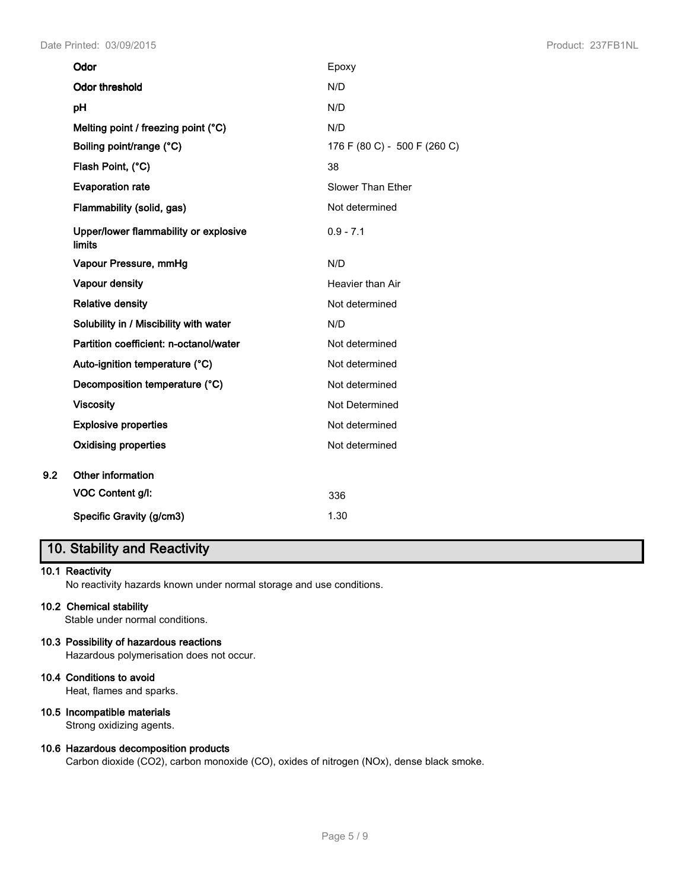|     | Odor                                            | Epoxy                        |
|-----|-------------------------------------------------|------------------------------|
|     | <b>Odor threshold</b>                           | N/D                          |
|     | pH                                              | N/D                          |
|     | Melting point / freezing point (°C)             | N/D                          |
|     | Boiling point/range (°C)                        | 176 F (80 C) - 500 F (260 C) |
|     | Flash Point, (°C)                               | 38                           |
|     | <b>Evaporation rate</b>                         | <b>Slower Than Ether</b>     |
|     | Flammability (solid, gas)                       | Not determined               |
|     | Upper/lower flammability or explosive<br>limits | $0.9 - 7.1$                  |
|     | Vapour Pressure, mmHg                           | N/D                          |
|     | Vapour density                                  | Heavier than Air             |
|     | <b>Relative density</b>                         | Not determined               |
|     | Solubility in / Miscibility with water          | N/D                          |
|     | Partition coefficient: n-octanol/water          | Not determined               |
|     | Auto-ignition temperature (°C)                  | Not determined               |
|     | Decomposition temperature (°C)                  | Not determined               |
|     | <b>Viscosity</b>                                | Not Determined               |
|     | <b>Explosive properties</b>                     | Not determined               |
|     | <b>Oxidising properties</b>                     | Not determined               |
| 9.2 | Other information                               |                              |
|     | VOC Content g/l:                                | 336                          |
|     | Specific Gravity (g/cm3)                        | 1.30                         |

# **10. Stability and Reactivity**

#### **10.1 Reactivity**

No reactivity hazards known under normal storage and use conditions.

### **10.2 Chemical stability**

Stable under normal conditions.

#### **10.3 Possibility of hazardous reactions**

Hazardous polymerisation does not occur.

# **10.4 Conditions to avoid**

Heat, flames and sparks.

# **10.5 Incompatible materials**

Strong oxidizing agents.

#### **10.6 Hazardous decomposition products**

Carbon dioxide (CO2), carbon monoxide (CO), oxides of nitrogen (NOx), dense black smoke.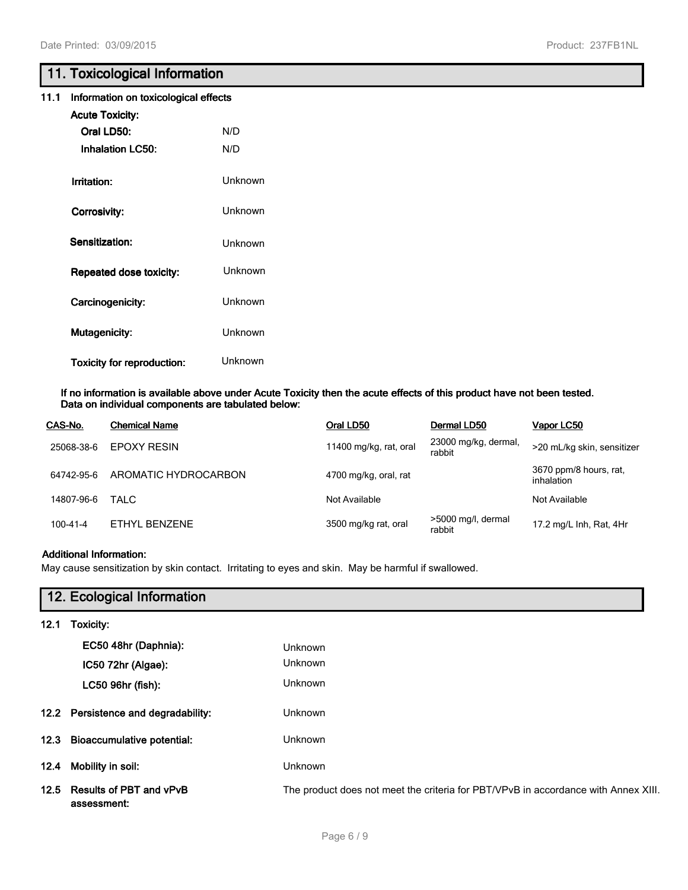# **11. Toxicological Information**

| 11.1 Information on toxicological effects |  |
|-------------------------------------------|--|
|-------------------------------------------|--|

| <b>Acute Toxicity:</b>            |         |
|-----------------------------------|---------|
| <b>Oral ID50:</b>                 | N/D     |
| <b>Inhalation LC50:</b>           | N/D     |
|                                   |         |
| Irritation:                       | Unknown |
|                                   | Unknown |
| Corrosivity:                      |         |
| Sensitization:                    | Unknown |
|                                   |         |
| Repeated dose toxicity:           | Unknown |
| Carcinogenicity:                  | Unknown |
|                                   |         |
| <b>Mutagenicity:</b>              | Unknown |
|                                   |         |
| <b>Toxicity for reproduction:</b> | Unknown |

#### **If no information is available above under Acute Toxicity then the acute effects of this product have not been tested. Data on individual components are tabulated below:**

| CAS-No.    | <b>Chemical Name</b> | Oral LD50              | Dermal LD50                    | Vapor LC50                           |
|------------|----------------------|------------------------|--------------------------------|--------------------------------------|
| 25068-38-6 | <b>EPOXY RESIN</b>   | 11400 mg/kg, rat, oral | 23000 mg/kg, dermal,<br>rabbit | >20 mL/kg skin, sensitizer           |
| 64742-95-6 | AROMATIC HYDROCARBON | 4700 mg/kg, oral, rat  |                                | 3670 ppm/8 hours, rat,<br>inhalation |
| 14807-96-6 | TALC                 | Not Available          |                                | Not Available                        |
| 100-41-4   | ETHYL BENZENE        | 3500 mg/kg rat, oral   | >5000 mg/l, dermal<br>rabbit   | 17.2 mg/L Inh, Rat, 4Hr              |

### **Additional Information:**

May cause sensitization by skin contact. Irritating to eyes and skin. May be harmful if swallowed.

| 12. Ecological Information |                                        |                                                                                    |  |
|----------------------------|----------------------------------------|------------------------------------------------------------------------------------|--|
| 12.1                       | Toxicity:                              |                                                                                    |  |
|                            | EC50 48hr (Daphnia):                   | Unknown                                                                            |  |
|                            | IC50 72hr (Algae):                     | <b>Unknown</b>                                                                     |  |
|                            | LC50 96hr (fish):                      | <b>Unknown</b>                                                                     |  |
|                            | 12.2 Persistence and degradability:    | <b>Unknown</b>                                                                     |  |
|                            | 12.3 Bioaccumulative potential:        | <b>Unknown</b>                                                                     |  |
| 12.4                       | Mobility in soil:                      | <b>Unknown</b>                                                                     |  |
| 12.5                       | Results of PBT and vPvB<br>assessment: | The product does not meet the criteria for PBT/VPvB in accordance with Annex XIII. |  |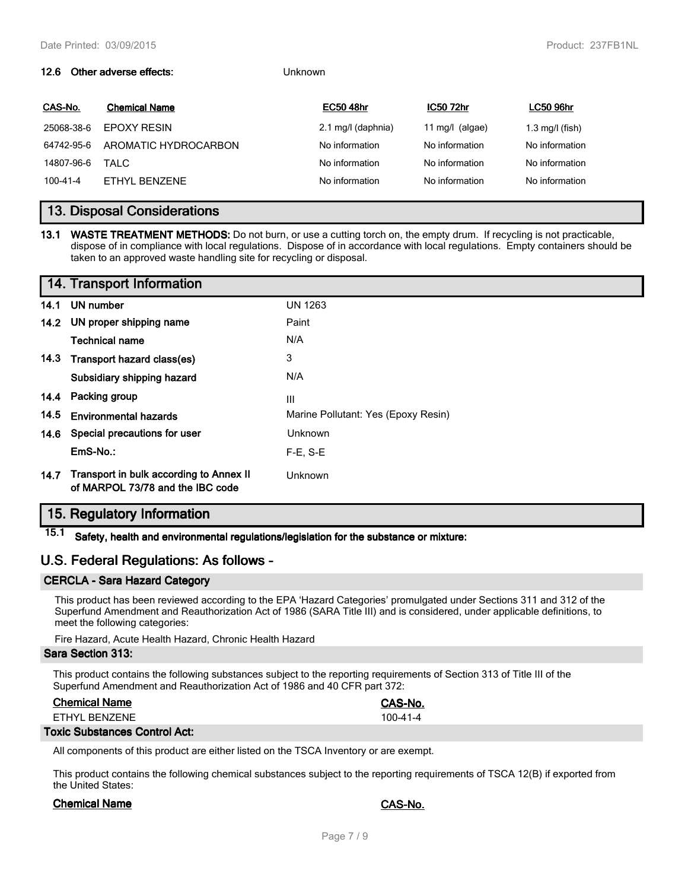#### **12.6 Other adverse effects:** Unknown

| CAS-No.    | <b>Chemical Name</b> | <b>EC50 48hr</b>   | <b>IC50 72hr</b>  | <b>LC50 96hr</b>          |
|------------|----------------------|--------------------|-------------------|---------------------------|
| 25068-38-6 | <b>FPOXY RESIN</b>   | 2.1 mg/l (daphnia) | 11 mg/l $(algae)$ | $1.3 \text{ mg/l}$ (fish) |
| 64742-95-6 | AROMATIC HYDROCARBON | No information     | No information    | No information            |
| 14807-96-6 | TAI C                | No information     | No information    | No information            |
| 100-41-4   | FTHYL BENZENE        | No information     | No information    | No information            |
|            |                      |                    |                   |                           |

# **13. Disposal Considerations**

**13.1 WASTE TREATMENT METHODS:** Do not burn, or use a cutting torch on, the empty drum. If recycling is not practicable, dispose of in compliance with local regulations. Dispose of in accordance with local regulations. Empty containers should be taken to an approved waste handling site for recycling or disposal.

|      | 14. Transport Information                                                   |                                     |
|------|-----------------------------------------------------------------------------|-------------------------------------|
| 14.1 | UN number                                                                   | <b>UN 1263</b>                      |
|      | 14.2 UN proper shipping name                                                | Paint                               |
|      | Technical name                                                              | N/A                                 |
|      | 14.3 Transport hazard class(es)                                             | 3                                   |
|      | Subsidiary shipping hazard                                                  | N/A                                 |
|      | 14.4 Packing group                                                          | Ш                                   |
| 14.5 | <b>Environmental hazards</b>                                                | Marine Pollutant: Yes (Epoxy Resin) |
|      | 14.6 Special precautions for user                                           | Unknown                             |
|      | EmS-No.:                                                                    | $F-E. S-E$                          |
| 14.7 | Transport in bulk according to Annex II<br>of MARPOL 73/78 and the IBC code | Unknown                             |

# **15. Regulatory Information**

**15.1 Safety, health and environmental regulations/legislation for the substance or mixture:**

# **U.S. Federal Regulations: As follows -**

#### **CERCLA - Sara Hazard Category**

This product has been reviewed according to the EPA 'Hazard Categories' promulgated under Sections 311 and 312 of the Superfund Amendment and Reauthorization Act of 1986 (SARA Title III) and is considered, under applicable definitions, to meet the following categories:

Fire Hazard, Acute Health Hazard, Chronic Health Hazard

#### **Sara Section 313:**

This product contains the following substances subject to the reporting requirements of Section 313 of Title III of the Superfund Amendment and Reauthorization Act of 1986 and 40 CFR part 372:

|                           | CAS-No. |
|---------------------------|---------|
| ETHYL BENZENE<br>100-41-4 |         |

#### **Toxic Substances Control Act:**

All components of this product are either listed on the TSCA Inventory or are exempt.

This product contains the following chemical substances subject to the reporting requirements of TSCA 12(B) if exported from the United States:

#### **Chemical Name CAS-No.**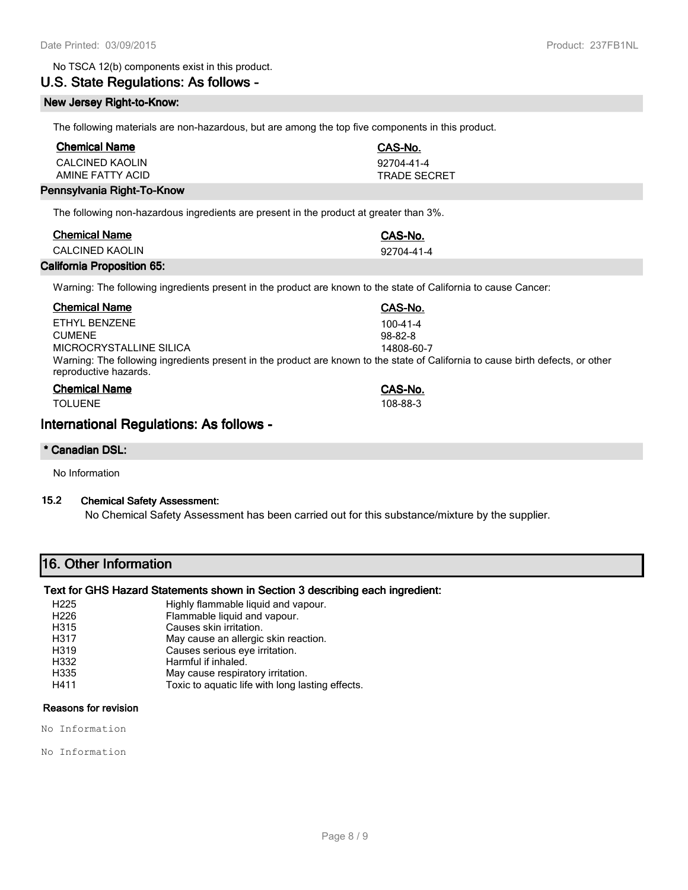#### No TSCA 12(b) components exist in this product.

# **U.S. State Regulations: As follows -**

#### **New Jersey Right-to-Know:**

The following materials are non-hazardous, but are among the top five components in this product.

| <b>Chemical Name</b> | CAS-No.      |
|----------------------|--------------|
| CALCINED KAOLIN      | 92704-41-4   |
| AMINE FATTY ACID     | TRADE SECRET |

#### **Pennsylvania Right-To-Know**

The following non-hazardous ingredients are present in the product at greater than 3%.

| <b>Chemical Name</b> | CAS-No.    |
|----------------------|------------|
| CALCINED KAOLIN      | 92704-41-4 |
|                      |            |

#### **California Proposition 65:**

Warning: The following ingredients present in the product are known to the state of California to cause Cancer:

| <b>Chemical Name</b>                                                                                                                                     | CAS-No.       |
|----------------------------------------------------------------------------------------------------------------------------------------------------------|---------------|
| FTHYL BENZENE                                                                                                                                            | 100-41-4      |
| <b>CUMENE</b>                                                                                                                                            | $98 - 82 - 8$ |
| MICROCRYSTALLINE SILICA                                                                                                                                  | 14808-60-7    |
| Warning: The following ingredients present in the product are known to the state of California to cause birth defects, or other<br>reproductive hazards. |               |
| <b>Chemical Name</b>                                                                                                                                     | CAS-No.       |
| <b>TOLUENE</b>                                                                                                                                           | 108-88-3      |

# **International Regulations: As follows -**

#### **\* Canadian DSL:**

No Information

### **15.2 Chemical Safety Assessment:**

No Chemical Safety Assessment has been carried out for this substance/mixture by the supplier.

# **16. Other Information**

#### **Text for GHS Hazard Statements shown in Section 3 describing each ingredient:**

- H225 Highly flammable liquid and vapour.
- H226 Flammable liquid and vapour.
- H315 Causes skin irritation.<br>H317 May cause an allergic
- May cause an allergic skin reaction.
- H319 Causes serious eye irritation.<br>
Harmful if inhaled.
- Harmful if inhaled.<br>
H335 May cause respira
- May cause respiratory irritation.
- H411 Toxic to aquatic life with long lasting effects.

# **Reasons for revision**

No Information

No Information